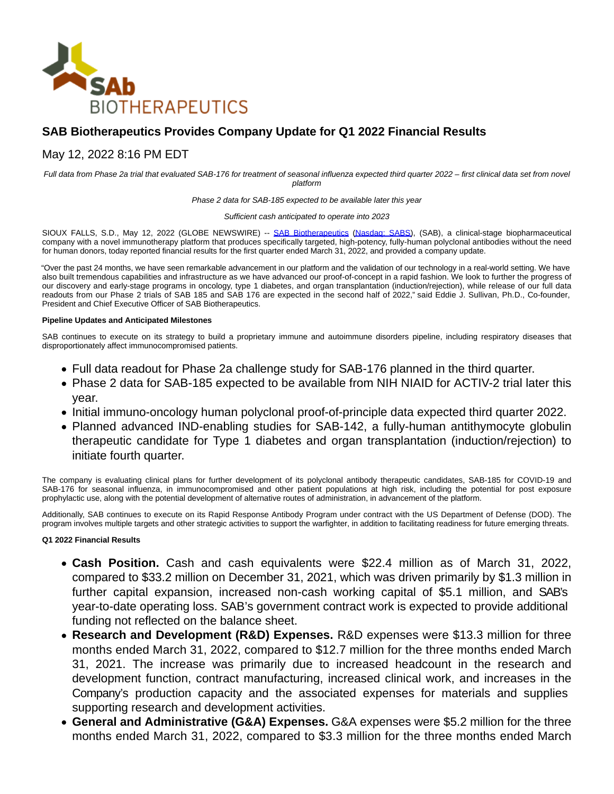

# **SAB Biotherapeutics Provides Company Update for Q1 2022 Financial Results**

## May 12, 2022 8:16 PM EDT

Full data from Phase 2a trial that evaluated SAB-176 for treatment of seasonal influenza expected third quarter 2022 – first clinical data set from novel platform

Phase 2 data for SAB-185 expected to be available later this year

Sufficient cash anticipated to operate into 2023

SIOUX FALLS, S.D., May 12, 2022 (GLOBE NEWSWIRE) -- [SAB Biotherapeutics](https://www.globenewswire.com/Tracker?data=LMCs0taVDZh1jc0mLlGmj5BzXplewFG8inP7-qEZz7QwNPvkqnt_yFgKIAwaJpxHdePoxggLlpcWdoPAGtoz3SYA-TLkI7lhaE4aYgOunU8=) [\(Nasdaq: SABS\),](https://www.globenewswire.com/Tracker?data=oPlXgj2eSO8BH9Czuq3gf7fRUCm5P-O2GFDPlob1bl0qOqgWbsrVixXZExcS6-9yqxgedPYZRWq8f0EljM_AZJEPBjlL0d84K6LL0ApbFYkVWejgaOmjPwJZttM7L46Z) (SAB), a clinical-stage biopharmaceutical company with a novel immunotherapy platform that produces specifically targeted, high-potency, fully-human polyclonal antibodies without the need for human donors, today reported financial results for the first quarter ended March 31, 2022, and provided a company update.

"Over the past 24 months, we have seen remarkable advancement in our platform and the validation of our technology in a real-world setting. We have also built tremendous capabilities and infrastructure as we have advanced our proof-of-concept in a rapid fashion. We look to further the progress of our discovery and early-stage programs in oncology, type 1 diabetes, and organ transplantation (induction/rejection), while release of our full data readouts from our Phase 2 trials of SAB 185 and SAB 176 are expected in the second half of 2022," said Eddie J. Sullivan, Ph.D., Co-founder, President and Chief Executive Officer of SAB Biotherapeutics.

### **Pipeline Updates and Anticipated Milestones**

SAB continues to execute on its strategy to build a proprietary immune and autoimmune disorders pipeline, including respiratory diseases that disproportionately affect immunocompromised patients.

- Full data readout for Phase 2a challenge study for SAB-176 planned in the third quarter.
- Phase 2 data for SAB-185 expected to be available from NIH NIAID for ACTIV-2 trial later this year.
- Initial immuno-oncology human polyclonal proof-of-principle data expected third quarter 2022.
- Planned advanced IND-enabling studies for SAB-142, a fully-human antithymocyte globulin therapeutic candidate for Type 1 diabetes and organ transplantation (induction/rejection) to initiate fourth quarter.

The company is evaluating clinical plans for further development of its polyclonal antibody therapeutic candidates, SAB-185 for COVID-19 and SAB-176 for seasonal influenza, in immunocompromised and other patient populations at high risk, including the potential for post exposure prophylactic use, along with the potential development of alternative routes of administration, in advancement of the platform.

Additionally, SAB continues to execute on its Rapid Response Antibody Program under contract with the US Department of Defense (DOD). The program involves multiple targets and other strategic activities to support the warfighter, in addition to facilitating readiness for future emerging threats.

## **Q1 2022 Financial Results**

- **Cash Position.** Cash and cash equivalents were \$22.4 million as of March 31, 2022, compared to \$33.2 million on December 31, 2021, which was driven primarily by \$1.3 million in further capital expansion, increased non-cash working capital of \$5.1 million, and SAB's year-to-date operating loss. SAB's government contract work is expected to provide additional funding not reflected on the balance sheet.
- **Research and Development (R&D) Expenses.** R&D expenses were \$13.3 million for three months ended March 31, 2022, compared to \$12.7 million for the three months ended March 31, 2021. The increase was primarily due to increased headcount in the research and development function, contract manufacturing, increased clinical work, and increases in the Company's production capacity and the associated expenses for materials and supplies supporting research and development activities.
- **General and Administrative (G&A) Expenses.** G&A expenses were \$5.2 million for the three months ended March 31, 2022, compared to \$3.3 million for the three months ended March